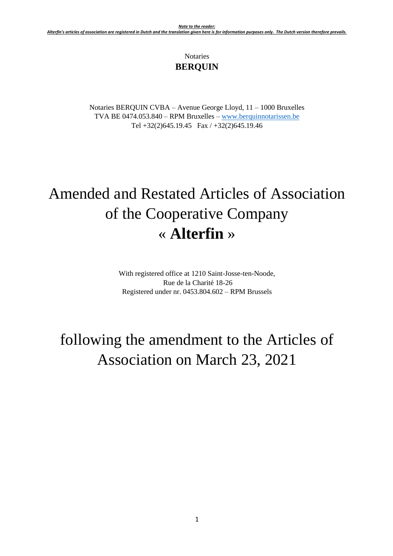# Notaries **BERQUIN**

Notaries BERQUIN CVBA – Avenue George Lloyd, 11 – 1000 Bruxelles TVA BE 0474.053.840 – RPM Bruxelles – [www.berquinnotarissen.be](http://www.berquinnotarissen.be/) Tel +32(2)645.19.45 Fax / +32(2)645.19.46

# Amended and Restated Articles of Association of the Cooperative Company « **Alterfin** »

With registered office at 1210 Saint-Josse-ten-Noode, Rue de la Charité 18-26 Registered under nr. 0453.804.602 – RPM Brussels

# following the amendment to the Articles of Association on March 23, 2021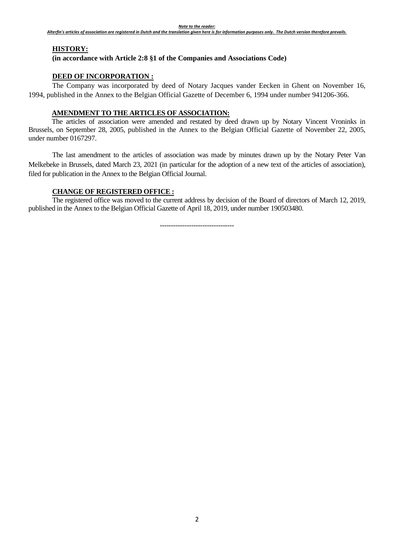## **HISTORY:**

#### **(in accordance with Article 2:8 §1 of the Companies and Associations Code)**

## **DEED OF INCORPORATION :**

The Company was incorporated by deed of Notary Jacques vander Eecken in Ghent on November 16, 1994, published in the Annex to the Belgian Official Gazette of December 6, 1994 under number 941206-366.

## **AMENDMENT TO THE ARTICLES OF ASSOCIATION:**

The articles of association were amended and restated by deed drawn up by Notary Vincent Vroninks in Brussels, on September 28, 2005, published in the Annex to the Belgian Official Gazette of November 22, 2005, under number 0167297.

The last amendment to the articles of association was made by minutes drawn up by the Notary Peter Van Melkebeke in Brussels, dated March 23, 2021 (in particular for the adoption of a new text of the articles of association), filed for publication in the Annex to the Belgian Official Journal.

### **CHANGE OF REGISTERED OFFICE :**

The registered office was moved to the current address by decision of the Board of directors of March 12, 2019, published in the Annex to the Belgian Official Gazette of April 18, 2019, under number 190503480.

---------------------------------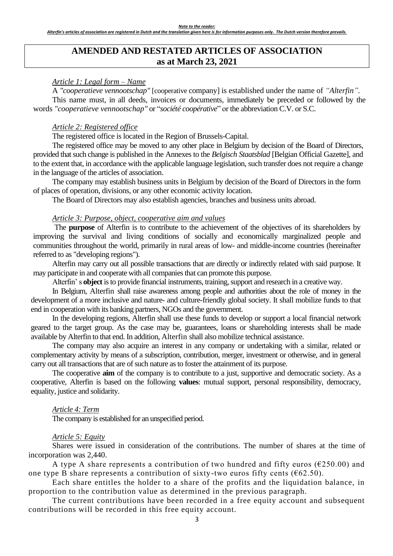# **AMENDED AND RESTATED ARTICLES OF ASSOCIATION as at March 23, 2021**

#### *Article 1: Legal form – Name*

A *"cooperatieve vennootschap"* [cooperative company] is established under the name of *"Alterfin".*  This name must, in all deeds, invoices or documents, immediately be preceded or followed by the words *"cooperatieve vennootschap"* or "*société coopérative*" or the abbreviation C.V. or S.C.

#### *Article 2: Registered office*

The registered office is located in the Region of Brussels-Capital.

The registered office may be moved to any other place in Belgium by decision of the Board of Directors, provided that such change is published in the Annexes to the *Belgisch Staatsblad* [Belgian Official Gazette], and to the extent that, in accordance with the applicable language legislation, such transfer does not require a change in the language of the articles of association.

The company may establish business units in Belgium by decision of the Board of Directors in the form of places of operation, divisions, or any other economic activity location.

The Board of Directors may also establish agencies, branches and business units abroad.

#### *Article 3: Purpose, object, cooperative aim and values*

The **purpose** of Alterfin is to contribute to the achievement of the objectives of its shareholders by improving the survival and living conditions of socially and economically marginalized people and communities throughout the world, primarily in rural areas of low- and middle-income countries (hereinafter referred to as "developing regions").

Alterfin may carry out all possible transactions that are directly or indirectly related with said purpose. It may participate in and cooperate with all companies that can promote this purpose.

Alterfin' s **object** is to provide financial instruments, training, support and research in a creative way.

In Belgium, Alterfin shall raise awareness among people and authorities about the role of money in the development of a more inclusive and nature- and culture-friendly global society. It shall mobilize funds to that end in cooperation with its banking partners, NGOs and the government.

In the developing regions, Alterfin shall use these funds to develop or support a local financial network geared to the target group. As the case may be, guarantees, loans or shareholding interests shall be made available by Alterfin to that end. In addition, Alterfin shall also mobilize technical assistance.

The company may also acquire an interest in any company or undertaking with a similar, related or complementary activity by means of a subscription, contribution, merger, investment or otherwise, and in general carry out all transactions that are of such nature as to foster the attainment of its purpose.

The cooperative **aim** of the company is to contribute to a just, supportive and democratic society. As a cooperative, Alterfin is based on the following **values**: mutual support, personal responsibility, democracy, equality, justice and solidarity.

#### *Article 4: Term*

The company is established for an unspecified period.

#### *Article 5: Equity*

Shares were issued in consideration of the contributions. The number of shares at the time of incorporation was 2,440.

A type A share represents a contribution of two hundred and fifty euros ( $E250.00$ ) and one type B share represents a contribution of sixty-two euros fifty cents ( $62.50$ ).

Each share entitles the holder to a share of the profits and the liquidation balance, in proportion to the contribution value as determined in the previous paragraph.

The current contributions have been recorded in a free equity account and subsequent contributions will be recorded in this free equity account.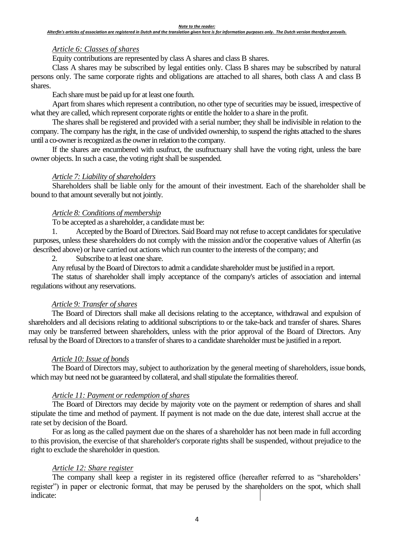## *Article 6: Classes of shares*

Equity contributions are represented by class A shares and class B shares.

Class A shares may be subscribed by legal entities only. Class B shares may be subscribed by natural persons only. The same corporate rights and obligations are attached to all shares, both class A and class B shares.

Each share must be paid up for at least one fourth.

Apart from shares which represent a contribution, no other type of securities may be issued, irrespective of what they are called, which represent corporate rights or entitle the holder to a share in the profit.

The shares shall be registered and provided with a serial number; they shall be indivisible in relation to the company. The company has the right, in the case of undivided ownership, to suspend the rights attached to the shares until a co-owner is recognized as the owner in relation to the company.

If the shares are encumbered with usufruct, the usufructuary shall have the voting right, unless the bare owner objects. In such a case, the voting right shall be suspended.

## *Article 7: Liability of shareholders*

Shareholders shall be liable only for the amount of their investment. Each of the shareholder shall be bound to that amount severally but not jointly*.*

## *Article 8: Conditions of membership*

To be accepted as a shareholder, a candidate must be:

Accepted by the Board of Directors. Said Board may not refuse to accept candidates for speculative purposes, unless these shareholders do not comply with the mission and/or the cooperative values of Alterfin (as described above) or have carried out actions which run counter to the interests of the company; and

2. Subscribe to at least one share.

Any refusal by the Board of Directors to admit a candidate shareholder must be justified in a report.

The status of shareholder shall imply acceptance of the company's articles of association and internal regulations without any reservations.

## *Article 9: Transfer of shares*

The Board of Directors shall make all decisions relating to the acceptance, withdrawal and expulsion of shareholders and all decisions relating to additional subscriptions to or the take-back and transfer of shares. Shares may only be transferred between shareholders, unless with the prior approval of the Board of Directors. Any refusal by the Board of Directors to a transfer of shares to a candidate shareholder must be justified in a report.

## *Article 10: Issue of bonds*

The Board of Directors may, subject to authorization by the general meeting of shareholders, issue bonds, which may but need not be guaranteed by collateral, and shall stipulate the formalities thereof.

## *Article 11: Payment or redemption of shares*

The Board of Directors may decide by majority vote on the payment or redemption of shares and shall stipulate the time and method of payment. If payment is not made on the due date, interest shall accrue at the rate set by decision of the Board.

For as long as the called payment due on the shares of a shareholder has not been made in full according to this provision, the exercise of that shareholder's corporate rights shall be suspended, without prejudice to the right to exclude the shareholder in question.

## *Article 12: Share register*

The company shall keep a register in its registered office (hereafter referred to as "shareholders' register") in paper or electronic format, that may be perused by the shareholders on the spot, which shall indicate: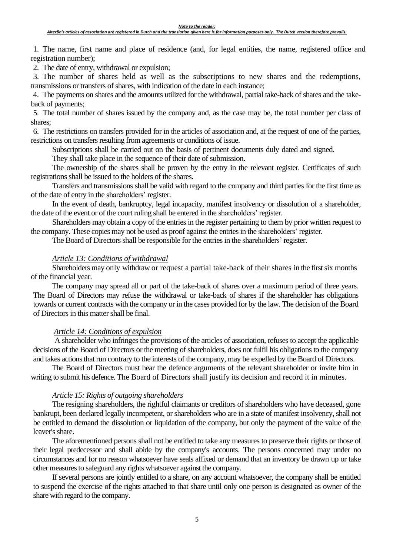1. The name, first name and place of residence (and, for legal entities, the name, registered office and registration number);

2. The date of entry, withdrawal or expulsion;

3. The number of shares held as well as the subscriptions to new shares and the redemptions, transmissions or transfers of shares, with indication of the date in each instance;

4. The payments on shares and the amounts utilized for the withdrawal, partial take-back of shares and the takeback of payments;

5. The total number of shares issued by the company and, as the case may be, the total number per class of shares;

6. The restrictions on transfers provided for in the articles of association and, at the request of one of the parties, restrictions on transfers resulting from agreements or conditions of issue.

Subscriptions shall be carried out on the basis of pertinent documents duly dated and signed.

They shall take place in the sequence of their date of submission.

The ownership of the shares shall be proven by the entry in the relevant register. Certificates of such registrations shall be issued to the holders of the shares.

Transfers and transmissions shall be valid with regard to the company and third parties for the first time as of the date of entry in the shareholders' register.

In the event of death, bankruptcy, legal incapacity, manifest insolvency or dissolution of a shareholder, the date of the event or of the court ruling shall be entered in the shareholders' register.

Shareholders may obtain a copy of the entries in the register pertaining to them by prior written request to the company. These copies may not be used as proof against the entries in the shareholders' register.

The Board of Directors shall be responsible for the entries in the shareholders' register.

## *Article 13: Conditions of withdrawal*

Shareholders may only withdraw or request a partial take-back of their shares in the first six months of the financial year.

The company may spread all or part of the take-back of shares over a maximum period of three years. The Board of Directors may refuse the withdrawal or take-back of shares if the shareholder has obligations towards or current contracts with the company or in the cases provided for by the law. The decision of the Board of Directors in this matter shall be final.

## *Article 14: Conditions of expulsion*

 A shareholder who infringes the provisions of the articles of association, refuses to accept the applicable decisions of the Board of Directors or the meeting of shareholders, does not fulfil his obligations to the company and takes actions that run contrary to the interests of the company, may be expelled by the Board of Directors.

The Board of Directors must hear the defence arguments of the relevant shareholder or invite him in writing to submit his defence. The Board of Directors shall justify its decision and record it in minutes.

## *Article 15: Rights of outgoing shareholders*

The resigning shareholders, the rightful claimants or creditors of shareholders who have deceased, gone bankrupt, been declared legally incompetent, or shareholders who are in a state of manifest insolvency, shall not be entitled to demand the dissolution or liquidation of the company, but only the payment of the value of the leaver's share.

The aforementioned persons shall not be entitled to take any measures to preserve their rights or those of their legal predecessor and shall abide by the company's accounts. The persons concerned may under no circumstances and for no reason whatsoever have seals affixed or demand that an inventory be drawn up or take other measures to safeguard any rights whatsoever against the company.

If several persons are jointly entitled to a share, on any account whatsoever, the company shall be entitled to suspend the exercise of the rights attached to that share until only one person is designated as owner of the share with regard to the company.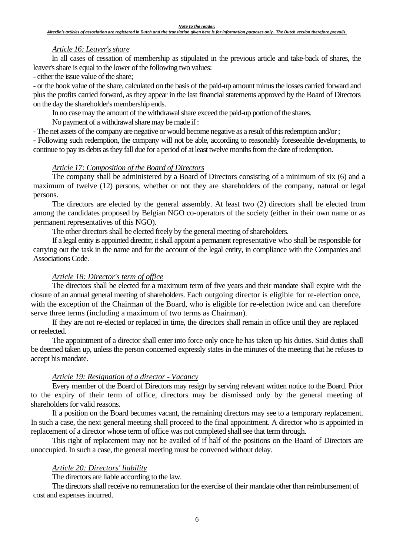## *Article 16: Leaver's share*

In all cases of cessation of membership as stipulated in the previous article and take-back of shares, the leaver's share is equal to the lower of the following two values:

- either the issue value of the share;

- or the book value of the share, calculated on the basis of the paid-up amount minus the losses carried forward and plus the profits carried forward, as they appear in the last financial statements approved by the Board of Directors on the day the shareholder's membership ends.

In no case may the amount of the withdrawal share exceed the paid-up portion of the shares.

No payment of a withdrawal share may be made if :

- The net assets of the company are negative or would become negative as a result of this redemption and/or ;

- Following such redemption, the company will not be able, according to reasonably foreseeable developments, to continue to pay its debts as they fall due for a period of at least twelve months from the date of redemption.

## *Article 17: Composition of the Board of Directors*

The company shall be administered by a Board of Directors consisting of a minimum of six (6) and a maximum of twelve (12) persons, whether or not they are shareholders of the company, natural or legal persons.

The directors are elected by the general assembly. At least two (2) directors shall be elected from among the candidates proposed by Belgian NGO co-operators of the society (either in their own name or as permanent representatives of this NGO).

The other directors shall be elected freely by the general meeting of shareholders.

If a legal entity is appointed director, it shall appoint a permanent representative who shall be responsible for carrying out the task in the name and for the account of the legal entity, in compliance with the Companies and Associations Code.

## *Article 18: Director's term of office*

The directors shall be elected for a maximum term of five years and their mandate shall expire with the closure of an annual general meeting of shareholders. Each outgoing director is eligible for re-election once, with the exception of the Chairman of the Board, who is eligible for re-election twice and can therefore serve three terms (including a maximum of two terms as Chairman).

If they are not re-elected or replaced in time, the directors shall remain in office until they are replaced or reelected.

The appointment of a director shall enter into force only once he has taken up his duties. Said duties shall be deemed taken up, unless the person concerned expressly states in the minutes of the meeting that he refuses to accept his mandate.

### *Article 19: Resignation of a director - Vacancy*

Every member of the Board of Directors may resign by serving relevant written notice to the Board. Prior to the expiry of their term of office, directors may be dismissed only by the general meeting of shareholders for valid reasons.

If a position on the Board becomes vacant, the remaining directors may see to a temporary replacement. In such a case, the next general meeting shall proceed to the final appointment. A director who is appointed in replacement of a director whose term of office was not completed shall see that term through.

This right of replacement may not be availed of if half of the positions on the Board of Directors are unoccupied. In such a case, the general meeting must be convened without delay.

#### *Article 20: Directors' liability*

The directors are liable according to the law.

The directors shall receive no remuneration for the exercise of their mandate other than reimbursement of cost and expenses incurred.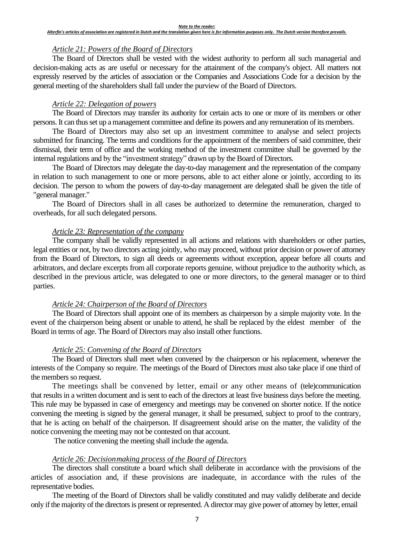#### *Note to the reader:*

#### *Alterfin's articles of association are registered in Dutch and the translation given here is for information purposes only. The Dutch version therefore prevails.*

## *Article 21: Powers of the Board of Directors*

The Board of Directors shall be vested with the widest authority to perform all such managerial and decision-making acts as are useful or necessary for the attainment of the company's object. All matters not expressly reserved by the articles of association or the Companies and Associations Code for a decision by the general meeting of the shareholders shall fall under the purview of the Board of Directors.

## *Article 22: Delegation of powers*

The Board of Directors may transfer its authority for certain acts to one or more of its members or other persons. It can thus set up a management committee and define its powers and any remuneration of its members.

The Board of Directors may also set up an investment committee to analyse and select projects submitted for financing. The terms and conditions for the appointment of the members of said committee, their dismissal, their term of office and the working method of the investment committee shall be governed by the internal regulations and by the "investment strategy" drawn up by the Board of Directors.

The Board of Directors may delegate the day-to-day management and the representation of the company in relation to such management to one or more persons, able to act either alone or jointly, according to its decision. The person to whom the powers of day-to-day management are delegated shall be given the title of "general manager."

The Board of Directors shall in all cases be authorized to determine the remuneration, charged to overheads, for all such delegated persons.

## *Article 23: Representation of the company*

The company shall be validly represented in all actions and relations with shareholders or other parties, legal entities or not, by two directors acting jointly, who may proceed, without prior decision or power of attorney from the Board of Directors, to sign all deeds or agreements without exception, appear before all courts and arbitrators, and declare excerpts from all corporate reports genuine, without prejudice to the authority which, as described in the previous article, was delegated to one or more directors, to the general manager or to third parties.

## *Article 24: Chairperson of the Board of Directors*

The Board of Directors shall appoint one of its members as chairperson by a simple majority vote. In the event of the chairperson being absent or unable to attend, he shall be replaced by the eldest member of the Board in terms of age. The Board of Directors may also install other functions.

## *Article 25: Convening of the Board of Directors*

The Board of Directors shall meet when convened by the chairperson or his replacement, whenever the interests of the Company so require. The meetings of the Board of Directors must also take place if one third of the members so request.

The meetings shall be convened by letter, email or any other means of (tele)communication that results in a written document and is sent to each of the directors at least five business days before the meeting. This rule may be bypassed in case of emergency and meetings may be convened on shorter notice. If the notice convening the meeting is signed by the general manager, it shall be presumed, subject to proof to the contrary, that he is acting on behalf of the chairperson. If disagreement should arise on the matter, the validity of the notice convening the meeting may not be contested on that account.

The notice convening the meeting shall include the agenda.

## *Article 26: Decision-making process of the Board of Directors*

The directors shall constitute a board which shall deliberate in accordance with the provisions of the articles of association and, if these provisions are inadequate, in accordance with the rules of the representative bodies.

The meeting of the Board of Directors shall be validly constituted and may validly deliberate and decide only if the majority of the directors is present or represented. A director may give power of attorney by letter, email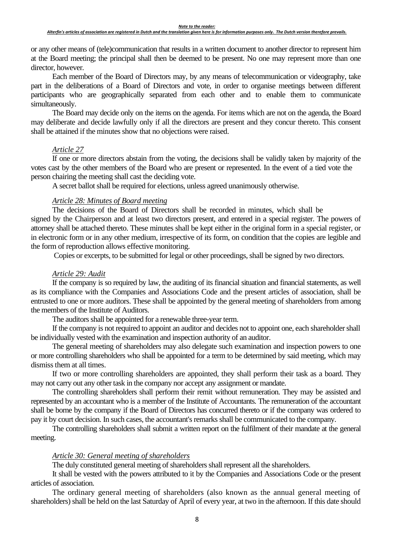or any other means of (tele)communication that results in a written document to another director to represent him at the Board meeting; the principal shall then be deemed to be present. No one may represent more than one director, however.

Each member of the Board of Directors may, by any means of telecommunication or videography, take part in the deliberations of a Board of Directors and vote, in order to organise meetings between different participants who are geographically separated from each other and to enable them to communicate simultaneously.

The Board may decide only on the items on the agenda. For items which are not on the agenda, the Board may deliberate and decide lawfully only if all the directors are present and they concur thereto. This consent shall be attained if the minutes show that no objections were raised.

#### *Article 27*

If one or more directors abstain from the voting, the decisions shall be validly taken by majority of the votes cast by the other members of the Board who are present or represented. In the event of a tied vote the person chairing the meeting shall cast the deciding vote.

A secret ballot shall be required for elections, unless agreed unanimously otherwise.

## *Article 28: Minutes of Board meeting*

The decisions of the Board of Directors shall be recorded in minutes, which shall be signed by the Chairperson and at least two directors present, and entered in a special register. The powers of attorney shall be attached thereto. These minutes shall be kept either in the original form in a special register, or in electronic form or in any other medium, irrespective of its form, on condition that the copies are legible and the form of reproduction allows effective monitoring.

Copies or excerpts, to be submitted for legal or other proceedings, shall be signed by two directors.

### *Article 29: Audit*

If the company is so required by law, the auditing of its financial situation and financial statements, as well as its compliance with the Companies and Associations Code and the present articles of association, shall be entrusted to one or more auditors. These shall be appointed by the general meeting of shareholders from among the members of the Institute of Auditors.

The auditors shall be appointed for a renewable three-year term.

If the company is not required to appoint an auditor and decides not to appoint one, each shareholder shall be individually vested with the examination and inspection authority of an auditor.

The general meeting of shareholders may also delegate such examination and inspection powers to one or more controlling shareholders who shall be appointed for a term to be determined by said meeting, which may dismiss them at all times.

If two or more controlling shareholders are appointed, they shall perform their task as a board. They may not carry out any other task in the company nor accept any assignment or mandate.

The controlling shareholders shall perform their remit without remuneration. They may be assisted and represented by an accountant who is a member of the Institute of Accountants. The remuneration of the accountant shall be borne by the company if the Board of Directors has concurred thereto or if the company was ordered to pay it by court decision. In such cases, the accountant's remarks shall be communicated to the company.

The controlling shareholders shall submit a written report on the fulfilment of their mandate at the general meeting.

#### *Article 30: General meeting of shareholders*

The duly constituted general meeting of shareholders shall represent all the shareholders.

It shall be vested with the powers attributed to it by the Companies and Associations Code or the present articles of association.

The ordinary general meeting of shareholders (also known as the annual general meeting of shareholders) shall be held on the last Saturday of April of every year, at two in the afternoon. If this date should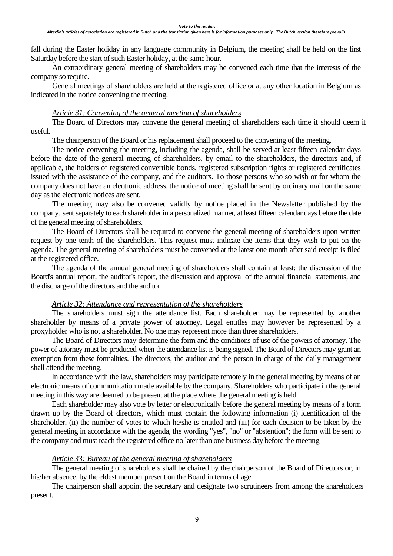#### *Alterfin's articles of association are registered in Dutch and the translation given here is for information purposes only. The Dutch version therefore prevails.*

fall during the Easter holiday in any language community in Belgium, the meeting shall be held on the first Saturday before the start of such Easter holiday, at the same hour.

An extraordinary general meeting of shareholders may be convened each time that the interests of the company so require.

General meetings of shareholders are held at the registered office or at any other location in Belgium as indicated in the notice convening the meeting.

## *Article 31: Convening of the general meeting of shareholders*

The Board of Directors may convene the general meeting of shareholders each time it should deem it useful.

The chairperson of the Board or his replacement shall proceed to the convening of the meeting.

The notice convening the meeting, including the agenda, shall be served at least fifteen calendar days before the date of the general meeting of shareholders, by email to the shareholders, the directors and, if applicable, the holders of registered convertible bonds, registered subscription rights or registered certificates issued with the assistance of the company, and the auditors. To those persons who so wish or for whom the company does not have an electronic address, the notice of meeting shall be sent by ordinary mail on the same day as the electronic notices are sent.

The meeting may also be convened validly by notice placed in the Newsletter published by the company, sent separately to each shareholder in a personalized manner, at least fifteen calendar days before the date of the general meeting of shareholders.

The Board of Directors shall be required to convene the general meeting of shareholders upon written request by one tenth of the shareholders. This request must indicate the items that they wish to put on the agenda. The general meeting of shareholders must be convened at the latest one month after said receipt is filed at the registered office.

The agenda of the annual general meeting of shareholders shall contain at least: the discussion of the Board's annual report, the auditor's report, the discussion and approval of the annual financial statements, and the discharge of the directors and the auditor.

### *Article 32: Attendance and representation of the shareholders*

The shareholders must sign the attendance list. Each shareholder may be represented by another shareholder by means of a private power of attorney. Legal entitles may however be represented by a proxyholder who is not a shareholder. No one may represent more than three shareholders.

The Board of Directors may determine the form and the conditions of use of the powers of attorney. The power of attorney must be produced when the attendance list is being signed. The Board of Directors may grant an exemption from these formalities. The directors, the auditor and the person in charge of the daily management shall attend the meeting.

In accordance with the law, shareholders may participate remotely in the general meeting by means of an electronic means of communication made available by the company. Shareholders who participate in the general meeting in this way are deemed to be present at the place where the general meeting is held.

Each shareholder may also vote by letter or electronically before the general meeting by means of a form drawn up by the Board of directors, which must contain the following information (i) identification of the shareholder, (ii) the number of votes to which he/she is entitled and (iii) for each decision to be taken by the general meeting in accordance with the agenda, the wording "yes", "no" or "abstention"; the form will be sent to the company and must reach the registered office no later than one business day before the meeting

#### *Article 33: Bureau of the general meeting of shareholders*

The general meeting of shareholders shall be chaired by the chairperson of the Board of Directors or, in his/her absence, by the eldest member present on the Board in terms of age.

The chairperson shall appoint the secretary and designate two scrutineers from among the shareholders present.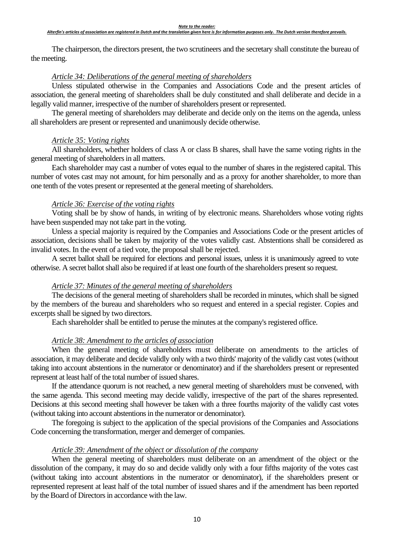#### *Note to the reader:*

#### *Alterfin's articles of association are registered in Dutch and the translation given here is for information purposes only. The Dutch version therefore prevails.*

The chairperson, the directors present, the two scrutineers and the secretary shall constitute the bureau of the meeting.

## *Article 34: Deliberations of the general meeting of shareholders*

Unless stipulated otherwise in the Companies and Associations Code and the present articles of association, the general meeting of shareholders shall be duly constituted and shall deliberate and decide in a legally valid manner, irrespective of the number of shareholders present or represented.

The general meeting of shareholders may deliberate and decide only on the items on the agenda, unless all shareholders are present or represented and unanimously decide otherwise.

## *Article 35: Voting rights*

All shareholders, whether holders of class A or class B shares, shall have the same voting rights in the general meeting of shareholders in all matters.

Each shareholder may cast a number of votes equal to the number of shares in the registered capital. This number of votes cast may not amount, for him personally and as a proxy for another shareholder, to more than one tenth of the votes present or represented at the general meeting of shareholders.

## *Article 36: Exercise of the voting rights*

Voting shall be by show of hands, in writing of by electronic means. Shareholders whose voting rights have been suspended may not take part in the voting.

Unless a special majority is required by the Companies and Associations Code or the present articles of association, decisions shall be taken by majority of the votes validly cast. Abstentions shall be considered as invalid votes. In the event of a tied vote, the proposal shall be rejected.

A secret ballot shall be required for elections and personal issues, unless it is unanimously agreed to vote otherwise. A secret ballot shall also be required if at least one fourth of the shareholders present so request.

## *Article 37: Minutes of the general meeting of shareholders*

The decisions of the general meeting of shareholders shall be recorded in minutes, which shall be signed by the members of the bureau and shareholders who so request and entered in a special register. Copies and excerpts shall be signed by two directors.

Each shareholder shall be entitled to peruse the minutes at the company's registered office.

## *Article 38: Amendment to the articles of association*

When the general meeting of shareholders must deliberate on amendments to the articles of association, it may deliberate and decide validly only with a two thirds' majority of the validly cast votes (without taking into account abstentions in the numerator or denominator) and if the shareholders present or represented represent at least half of the total number of issued shares.

If the attendance quorum is not reached, a new general meeting of shareholders must be convened, with the same agenda. This second meeting may decide validly, irrespective of the part of the shares represented. Decisions at this second meeting shall however be taken with a three fourths majority of the validly cast votes (without taking into account abstentions in the numerator or denominator).

The foregoing is subject to the application of the special provisions of the Companies and Associations Code concerning the transformation, merger and demerger of companies.

## *Article 39: Amendment of the object or dissolution of the company*

When the general meeting of shareholders must deliberate on an amendment of the object or the dissolution of the company, it may do so and decide validly only with a four fifths majority of the votes cast (without taking into account abstentions in the numerator or denominator), if the shareholders present or represented represent at least half of the total number of issued shares and if the amendment has been reported by the Board of Directors in accordance with the law.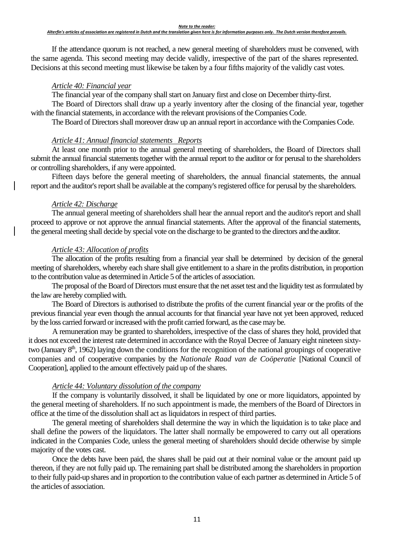#### *Note to the reader:*

#### *Alterfin's articles of association are registered in Dutch and the translation given here is for information purposes only. The Dutch version therefore prevails.*

If the attendance quorum is not reached, a new general meeting of shareholders must be convened, with the same agenda. This second meeting may decide validly, irrespective of the part of the shares represented. Decisions at this second meeting must likewise be taken by a four fifths majority of the validly cast votes.

#### *Article 40: Financial year*

The financial year of the company shall start on January first and close on December thirty-first.

The Board of Directors shall draw up a yearly inventory after the closing of the financial year, together with the financial statements, in accordance with the relevant provisions of the Companies Code.

The Board of Directors shall moreover draw up an annual report in accordance with the Companies Code.

### *Article 41: Annual financial statements — Reports*

At least one month prior to the annual general meeting of shareholders, the Board of Directors shall submit the annual financial statements together with the annual report to the auditor or for perusal to the shareholders or controlling shareholders, if any were appointed.

Fifteen days before the general meeting of shareholders, the annual financial statements, the annual report and the auditor's report shall be available at the company's registered office for perusal by the shareholders.

### *Article 42: Discharge*

The annual general meeting of shareholders shall hear the annual report and the auditor's report and shall proceed to approve or not approve the annual financial statements. After the approval of the financial statements, the general meeting shall decide by special vote on the discharge to be granted to the directors and the auditor.

### *Article 43: Allocation of profits*

The allocation of the profits resulting from a financial year shall be determined by decision of the general meeting of shareholders, whereby each share shall give entitlement to a share in the profits distribution, in proportion to the contribution value as determined in Article 5 of the articles of association.

The proposal of the Board of Directors must ensure that the net asset test and the liquidity test as formulated by the law are hereby complied with.

The Board of Directors is authorised to distribute the profits of the current financial year or the profits of the previous financial year even though the annual accounts for that financial year have not yet been approved, reduced by the loss carried forward or increased with the profit carried forward, as the case may be.

A remuneration may be granted to shareholders, irrespective of the class of shares they hold, provided that it does not exceed the interest rate determined in accordance with the Royal Decree of January eight nineteen sixtytwo (January 8<sup>th</sup>, 1962) laying down the conditions for the recognition of the national groupings of cooperative companies and of cooperative companies by the *Nationale Raad van de Coöperatie* [National Council of Cooperation], applied to the amount effectively paid up of the shares.

## *Article 44: Voluntary dissolution of the company*

If the company is voluntarily dissolved, it shall be liquidated by one or more liquidators, appointed by the general meeting of shareholders. If no such appointment is made, the members of the Board of Directors in office at the time of the dissolution shall act as liquidators in respect of third parties.

The general meeting of shareholders shall determine the way in which the liquidation is to take place and shall define the powers of the liquidators. The latter shall normally be empowered to carry out all operations indicated in the Companies Code, unless the general meeting of shareholders should decide otherwise by simple majority of the votes cast.

Once the debts have been paid, the shares shall be paid out at their nominal value or the amount paid up thereon, if they are not fully paid up. The remaining part shall be distributed among the shareholders in proportion to their fully paid-up shares and in proportion to the contribution value of each partner as determined in Article 5 of the articles of association.